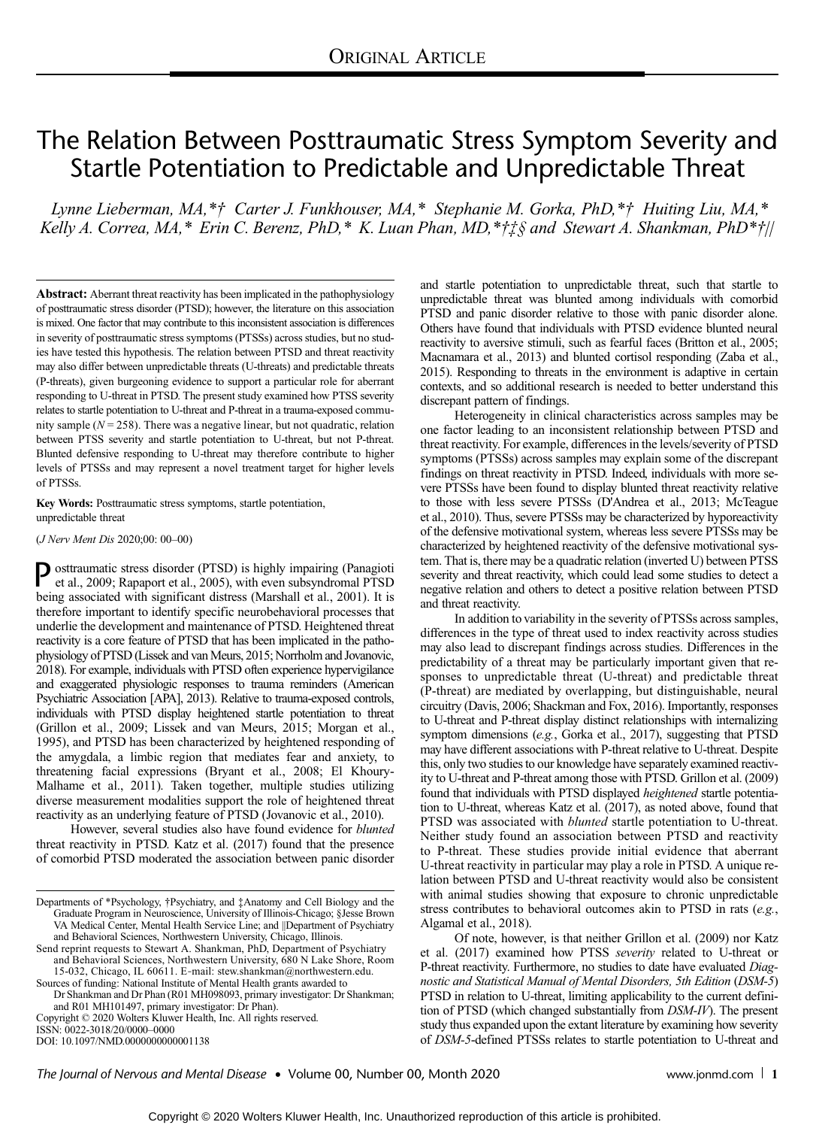# The Relation Between Posttraumatic Stress Symptom Severity and Startle Potentiation to Predictable and Unpredictable Threat

Lynne Lieberman, MA,\*† Carter J. Funkhouser, MA,\* Stephanie M. Gorka, PhD,\*† Huiting Liu, MA,\* Kelly A. Correa, MA,\* Erin C. Berenz, PhD,\* K. Luan Phan, MD,\* $\dot{\tau}\dot{\tau}\dot{\xi}$  and Stewart A. Shankman, PhD\* $\dot{\tau}$ ||

Abstract: Aberrant threat reactivity has been implicated in the pathophysiology of posttraumatic stress disorder (PTSD); however, the literature on this association is mixed. One factor that may contribute to this inconsistent association is differences in severity of posttraumatic stress symptoms (PTSSs) across studies, but no studies have tested this hypothesis. The relation between PTSD and threat reactivity may also differ between unpredictable threats (U-threats) and predictable threats (P-threats), given burgeoning evidence to support a particular role for aberrant responding to U-threat in PTSD. The present study examined how PTSS severity relates to startle potentiation to U-threat and P-threat in a trauma-exposed community sample ( $N = 258$ ). There was a negative linear, but not quadratic, relation between PTSS severity and startle potentiation to U-threat, but not P-threat. Blunted defensive responding to U-threat may therefore contribute to higher levels of PTSSs and may represent a novel treatment target for higher levels of PTSSs.

Key Words: Posttraumatic stress symptoms, startle potentiation, unpredictable threat

(J Nerv Ment Dis 2020;00: 00–00)

Posttraumatic stress disorder (PTSD) is highly impairing (Panagioti et al., 2009; Rapaport et al., 2005), with even subsyndromal PTSD being associated with significant distress (Marshall et al., 2001). It is therefore important to identify specific neurobehavioral processes that underlie the development and maintenance of PTSD. Heightened threat reactivity is a core feature of PTSD that has been implicated in the pathophysiology of PTSD (Lissek and van Meurs, 2015; Norrholm and Jovanovic, 2018). For example, individuals with PTSD often experience hypervigilance and exaggerated physiologic responses to trauma reminders (American Psychiatric Association [APA], 2013). Relative to trauma-exposed controls, individuals with PTSD display heightened startle potentiation to threat (Grillon et al., 2009; Lissek and van Meurs, 2015; Morgan et al., 1995), and PTSD has been characterized by heightened responding of the amygdala, a limbic region that mediates fear and anxiety, to threatening facial expressions (Bryant et al., 2008; El Khoury-Malhame et al., 2011). Taken together, multiple studies utilizing diverse measurement modalities support the role of heightened threat reactivity as an underlying feature of PTSD (Jovanovic et al., 2010).

However, several studies also have found evidence for blunted threat reactivity in PTSD. Katz et al. (2017) found that the presence of comorbid PTSD moderated the association between panic disorder

Sources of funding: National Institute of Mental Health grants awarded to

Copyright © 2020 Wolters Kluwer Health, Inc. All rights reserved. ISSN: 0022-3018/20/0000–0000

DOI: 10.1097/NMD.0000000000001138

and startle potentiation to unpredictable threat, such that startle to unpredictable threat was blunted among individuals with comorbid PTSD and panic disorder relative to those with panic disorder alone. Others have found that individuals with PTSD evidence blunted neural reactivity to aversive stimuli, such as fearful faces (Britton et al., 2005; Macnamara et al., 2013) and blunted cortisol responding (Zaba et al., 2015). Responding to threats in the environment is adaptive in certain contexts, and so additional research is needed to better understand this discrepant pattern of findings.

Heterogeneity in clinical characteristics across samples may be one factor leading to an inconsistent relationship between PTSD and threat reactivity. For example, differences in the levels/severity of PTSD symptoms (PTSSs) across samples may explain some of the discrepant findings on threat reactivity in PTSD. Indeed, individuals with more severe PTSSs have been found to display blunted threat reactivity relative to those with less severe PTSSs (D'Andrea et al., 2013; McTeague et al., 2010). Thus, severe PTSSs may be characterized by hyporeactivity of the defensive motivational system, whereas less severe PTSSs may be characterized by heightened reactivity of the defensive motivational system. That is, there may be a quadratic relation (inverted U) between PTSS severity and threat reactivity, which could lead some studies to detect a negative relation and others to detect a positive relation between PTSD and threat reactivity.

In addition to variability in the severity of PTSSs across samples, differences in the type of threat used to index reactivity across studies may also lead to discrepant findings across studies. Differences in the predictability of a threat may be particularly important given that responses to unpredictable threat (U-threat) and predictable threat (P-threat) are mediated by overlapping, but distinguishable, neural circuitry (Davis, 2006; Shackman and Fox, 2016). Importantly, responses to U-threat and P-threat display distinct relationships with internalizing symptom dimensions (e.g., Gorka et al., 2017), suggesting that PTSD may have different associations with P-threat relative to U-threat. Despite this, only two studies to our knowledge have separately examined reactivity to U-threat and P-threat among those with PTSD. Grillon et al. (2009) found that individuals with PTSD displayed heightened startle potentiation to U-threat, whereas Katz et al. (2017), as noted above, found that PTSD was associated with blunted startle potentiation to U-threat. Neither study found an association between PTSD and reactivity to P-threat. These studies provide initial evidence that aberrant U-threat reactivity in particular may play a role in PTSD. A unique relation between PTSD and U-threat reactivity would also be consistent with animal studies showing that exposure to chronic unpredictable stress contributes to behavioral outcomes akin to PTSD in rats (e.g., Algamal et al., 2018).

Of note, however, is that neither Grillon et al. (2009) nor Katz et al. (2017) examined how PTSS severity related to U-threat or P-threat reactivity. Furthermore, no studies to date have evaluated Diagnostic and Statistical Manual of Mental Disorders, 5th Edition (DSM-5) PTSD in relation to U-threat, limiting applicability to the current definition of PTSD (which changed substantially from DSM-IV). The present study thus expanded upon the extant literature by examining how severity of DSM-5-defined PTSSs relates to startle potentiation to U-threat and

The Journal of Nervous and Mental Disease • Volume 00, Number 00, Month 2020 [www.jonmd.com](http://www.jonmd.com) | 1

Departments of \*Psychology, †Psychiatry, and ‡Anatomy and Cell Biology and the Graduate Program in Neuroscience, University of Illinois-Chicago; §Jesse Brown VA Medical Center, Mental Health Service Line; and ||Department of Psychiatry and Behavioral Sciences, Northwestern University, Chicago, Illinois.

Send reprint requests to Stewart A. Shankman, PhD, Department of Psychiatry and Behavioral Sciences, Northwestern University, 680 N Lake Shore, Room 15-032, Chicago, IL 60611. E‐mail: [stew.shankman@northwestern.edu.](mailto:stew.shankman@northwestern.edu)

Dr Shankman and Dr Phan (R01 MH098093, primary investigator: Dr Shankman; and R01 MH101497, primary investigator: Dr Phan).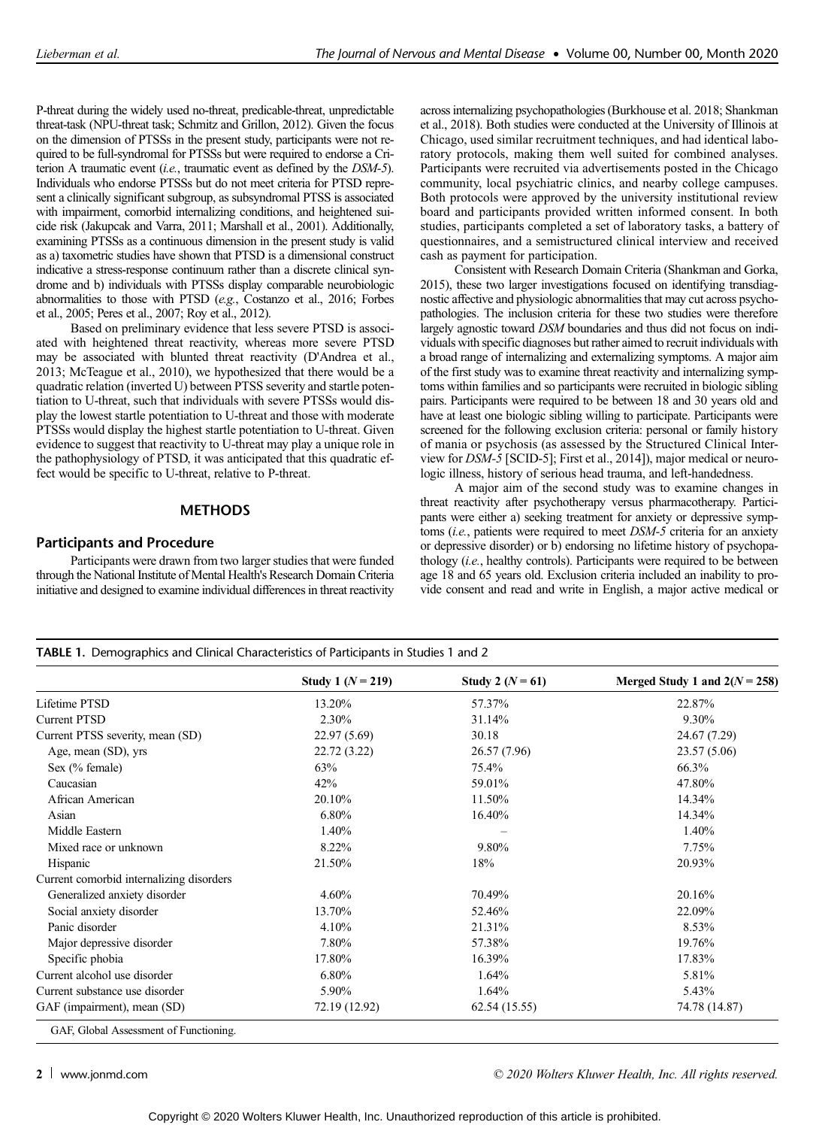P-threat during the widely used no-threat, predicable-threat, unpredictable threat-task (NPU-threat task; Schmitz and Grillon, 2012). Given the focus on the dimension of PTSSs in the present study, participants were not required to be full-syndromal for PTSSs but were required to endorse a Criterion A traumatic event (i.e., traumatic event as defined by the DSM-5). Individuals who endorse PTSSs but do not meet criteria for PTSD represent a clinically significant subgroup, as subsyndromal PTSS is associated with impairment, comorbid internalizing conditions, and heightened suicide risk (Jakupcak and Varra, 2011; Marshall et al., 2001). Additionally, examining PTSSs as a continuous dimension in the present study is valid as a) taxometric studies have shown that PTSD is a dimensional construct indicative a stress-response continuum rather than a discrete clinical syndrome and b) individuals with PTSSs display comparable neurobiologic abnormalities to those with PTSD (e.g., Costanzo et al., 2016; Forbes et al., 2005; Peres et al., 2007; Roy et al., 2012).

Based on preliminary evidence that less severe PTSD is associated with heightened threat reactivity, whereas more severe PTSD may be associated with blunted threat reactivity (D'Andrea et al., 2013; McTeague et al., 2010), we hypothesized that there would be a quadratic relation (inverted U) between PTSS severity and startle potentiation to U-threat, such that individuals with severe PTSSs would display the lowest startle potentiation to U-threat and those with moderate PTSSs would display the highest startle potentiation to U-threat. Given evidence to suggest that reactivity to U-threat may play a unique role in the pathophysiology of PTSD, it was anticipated that this quadratic effect would be specific to U-threat, relative to P-threat.

## METHODS

## Participants and Procedure

Participants were drawn from two larger studies that were funded through the National Institute of Mental Health's Research Domain Criteria initiative and designed to examine individual differences in threat reactivity across internalizing psychopathologies (Burkhouse et al. 2018; Shankman et al., 2018). Both studies were conducted at the University of Illinois at Chicago, used similar recruitment techniques, and had identical laboratory protocols, making them well suited for combined analyses. Participants were recruited via advertisements posted in the Chicago community, local psychiatric clinics, and nearby college campuses. Both protocols were approved by the university institutional review board and participants provided written informed consent. In both studies, participants completed a set of laboratory tasks, a battery of questionnaires, and a semistructured clinical interview and received cash as payment for participation.

Consistent with Research Domain Criteria (Shankman and Gorka, 2015), these two larger investigations focused on identifying transdiagnostic affective and physiologic abnormalities that may cut across psychopathologies. The inclusion criteria for these two studies were therefore largely agnostic toward DSM boundaries and thus did not focus on individuals with specific diagnoses but rather aimed to recruit individuals with a broad range of internalizing and externalizing symptoms. A major aim of the first study was to examine threat reactivity and internalizing symptoms within families and so participants were recruited in biologic sibling pairs. Participants were required to be between 18 and 30 years old and have at least one biologic sibling willing to participate. Participants were screened for the following exclusion criteria: personal or family history of mania or psychosis (as assessed by the Structured Clinical Interview for DSM-5 [SCID-5]; First et al., 2014]), major medical or neurologic illness, history of serious head trauma, and left-handedness.

A major aim of the second study was to examine changes in threat reactivity after psychotherapy versus pharmacotherapy. Participants were either a) seeking treatment for anxiety or depressive symptoms (i.e., patients were required to meet DSM-5 criteria for an anxiety or depressive disorder) or b) endorsing no lifetime history of psychopathology (i.e., healthy controls). Participants were required to be between age 18 and 65 years old. Exclusion criteria included an inability to provide consent and read and write in English, a major active medical or

TABLE 1. Demographics and Clinical Characteristics of Participants in Studies 1 and 2

|                                          | Study 1 $(N = 219)$ | Study 2 ( $N = 61$ ) | Merged Study 1 and $2(N = 258)$ |
|------------------------------------------|---------------------|----------------------|---------------------------------|
| Lifetime PTSD                            | 13.20%              | 57.37%               | 22.87%                          |
| <b>Current PTSD</b>                      | 2.30%               | 31.14%               | 9.30%                           |
| Current PTSS severity, mean (SD)         | 22.97 (5.69)        | 30.18                | 24.67 (7.29)                    |
| Age, mean (SD), yrs                      | 22.72 (3.22)        | 26.57 (7.96)         | 23.57 (5.06)                    |
| Sex $(\%$ female)                        | 63%                 | 75.4%                | 66.3%                           |
| Caucasian                                | 42%                 | 59.01%               | 47.80%                          |
| African American                         | 20.10%              | 11.50%               | 14.34%                          |
| Asian                                    | 6.80%               | 16.40%               | 14.34%                          |
| Middle Eastern                           | 1.40%               |                      | 1.40%                           |
| Mixed race or unknown                    | 8.22%               | 9.80%                | 7.75%                           |
| Hispanic                                 | 21.50%              | 18%                  | 20.93%                          |
| Current comorbid internalizing disorders |                     |                      |                                 |
| Generalized anxiety disorder             | 4.60%               | 70.49%               | 20.16%                          |
| Social anxiety disorder                  | 13.70%              | 52.46%               | 22.09%                          |
| Panic disorder                           | $4.10\%$            | 21.31%               | 8.53%                           |
| Major depressive disorder                | 7.80%               | 57.38%               | 19.76%                          |
| Specific phobia                          | 17.80%              | 16.39%               | 17.83%                          |
| Current alcohol use disorder             | 6.80%               | 1.64%                | 5.81%                           |
| Current substance use disorder           | 5.90%               | 1.64%                | 5.43%                           |
| GAF (impairment), mean (SD)              | 72.19 (12.92)       | 62.54 (15.55)        | 74.78 (14.87)                   |

GAF, Global Assessment of Functioning.

2 [www.jonmd.com](http://www.jonmd.com) **2020** Wolters Kluwer Health, Inc. All rights reserved.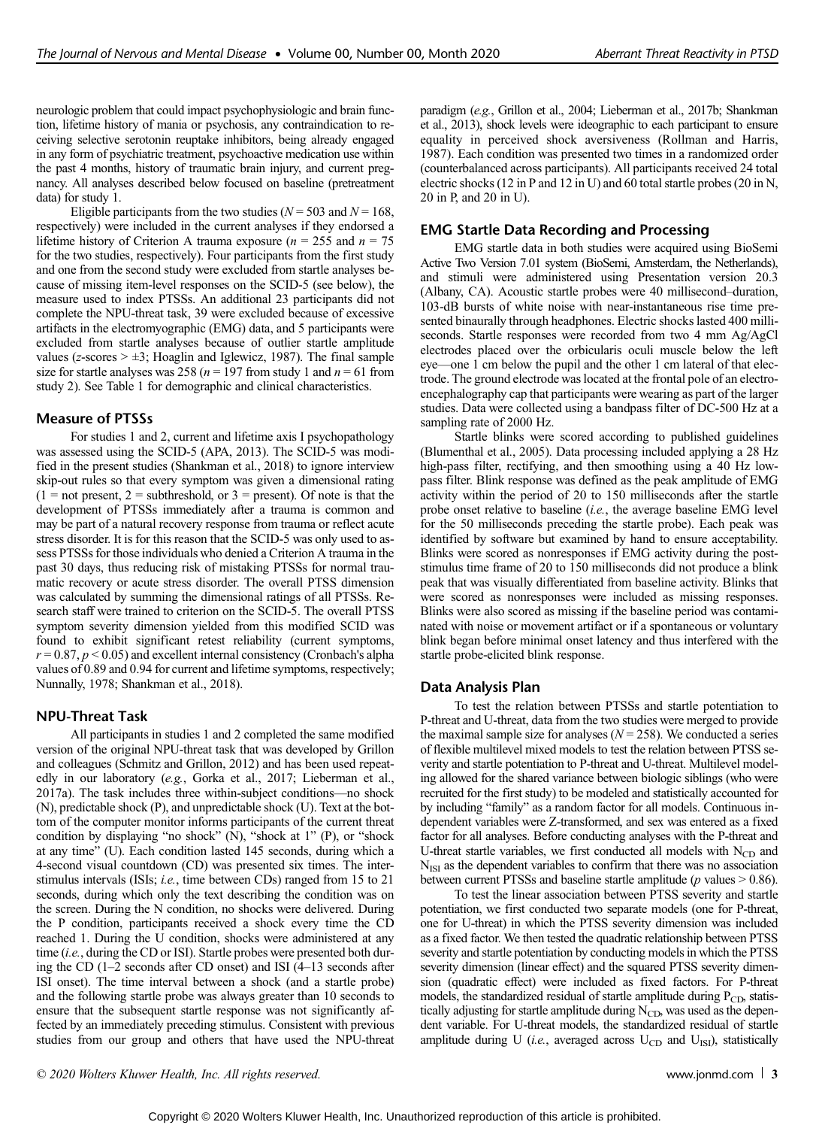neurologic problem that could impact psychophysiologic and brain function, lifetime history of mania or psychosis, any contraindication to receiving selective serotonin reuptake inhibitors, being already engaged in any form of psychiatric treatment, psychoactive medication use within the past 4 months, history of traumatic brain injury, and current pregnancy. All analyses described below focused on baseline (pretreatment data) for study 1.

Eligible participants from the two studies ( $N = 503$  and  $N = 168$ , respectively) were included in the current analyses if they endorsed a lifetime history of Criterion A trauma exposure ( $n = 255$  and  $n = 75$ ) for the two studies, respectively). Four participants from the first study and one from the second study were excluded from startle analyses because of missing item-level responses on the SCID-5 (see below), the measure used to index PTSSs. An additional 23 participants did not complete the NPU-threat task, 39 were excluded because of excessive artifacts in the electromyographic (EMG) data, and 5 participants were excluded from startle analyses because of outlier startle amplitude values ( $z$ -scores  $> \pm 3$ ; Hoaglin and Iglewicz, 1987). The final sample size for startle analyses was 258 ( $n = 197$  from study 1 and  $n = 61$  from study 2). See Table 1 for demographic and clinical characteristics.

## Measure of PTSSs

For studies 1 and 2, current and lifetime axis I psychopathology was assessed using the SCID-5 (APA, 2013). The SCID-5 was modified in the present studies (Shankman et al., 2018) to ignore interview skip-out rules so that every symptom was given a dimensional rating  $(1 = not present, 2 = subthreshold, or 3 = present).$  Of note is that the development of PTSSs immediately after a trauma is common and may be part of a natural recovery response from trauma or reflect acute stress disorder. It is for this reason that the SCID-5 was only used to assess PTSSs for those individuals who denied a Criterion A trauma in the past 30 days, thus reducing risk of mistaking PTSSs for normal traumatic recovery or acute stress disorder. The overall PTSS dimension was calculated by summing the dimensional ratings of all PTSSs. Research staff were trained to criterion on the SCID-5. The overall PTSS symptom severity dimension yielded from this modified SCID was found to exhibit significant retest reliability (current symptoms,  $r = 0.87, p \le 0.05$ ) and excellent internal consistency (Cronbach's alpha values of 0.89 and 0.94 for current and lifetime symptoms, respectively; Nunnally, 1978; Shankman et al., 2018).

# NPU-Threat Task

All participants in studies 1 and 2 completed the same modified version of the original NPU-threat task that was developed by Grillon and colleagues (Schmitz and Grillon, 2012) and has been used repeatedly in our laboratory (e.g., Gorka et al., 2017; Lieberman et al., 2017a). The task includes three within-subject conditions—no shock (N), predictable shock (P), and unpredictable shock (U). Text at the bottom of the computer monitor informs participants of the current threat condition by displaying "no shock" (N), "shock at 1" (P), or "shock at any time" (U). Each condition lasted 145 seconds, during which a 4-second visual countdown (CD) was presented six times. The interstimulus intervals (ISIs; *i.e.*, time between CDs) ranged from 15 to 21 seconds, during which only the text describing the condition was on the screen. During the N condition, no shocks were delivered. During the P condition, participants received a shock every time the CD reached 1. During the U condition, shocks were administered at any time (i.e., during the CD or ISI). Startle probes were presented both during the CD (1–2 seconds after CD onset) and ISI (4–13 seconds after ISI onset). The time interval between a shock (and a startle probe) and the following startle probe was always greater than 10 seconds to ensure that the subsequent startle response was not significantly affected by an immediately preceding stimulus. Consistent with previous studies from our group and others that have used the NPU-threat

paradigm (e.g., Grillon et al., 2004; Lieberman et al., 2017b; Shankman et al., 2013), shock levels were ideographic to each participant to ensure equality in perceived shock aversiveness (Rollman and Harris, 1987). Each condition was presented two times in a randomized order (counterbalanced across participants). All participants received 24 total electric shocks (12 in P and 12 in U) and 60 total startle probes (20 in N, 20 in P, and 20 in U).

## EMG Startle Data Recording and Processing

EMG startle data in both studies were acquired using BioSemi Active Two Version 7.01 system (BioSemi, Amsterdam, the Netherlands), and stimuli were administered using Presentation version 20.3 (Albany, CA). Acoustic startle probes were 40 millisecond–duration, 103-dB bursts of white noise with near-instantaneous rise time presented binaurally through headphones. Electric shocks lasted 400 milliseconds. Startle responses were recorded from two 4 mm Ag/AgCl electrodes placed over the orbicularis oculi muscle below the left eye—one 1 cm below the pupil and the other 1 cm lateral of that electrode. The ground electrode was located at the frontal pole of an electroencephalography cap that participants were wearing as part of the larger studies. Data were collected using a bandpass filter of DC-500 Hz at a sampling rate of 2000 Hz.

Startle blinks were scored according to published guidelines (Blumenthal et al., 2005). Data processing included applying a 28 Hz high-pass filter, rectifying, and then smoothing using a 40 Hz lowpass filter. Blink response was defined as the peak amplitude of EMG activity within the period of 20 to 150 milliseconds after the startle probe onset relative to baseline (i.e., the average baseline EMG level for the 50 milliseconds preceding the startle probe). Each peak was identified by software but examined by hand to ensure acceptability. Blinks were scored as nonresponses if EMG activity during the poststimulus time frame of 20 to 150 milliseconds did not produce a blink peak that was visually differentiated from baseline activity. Blinks that were scored as nonresponses were included as missing responses. Blinks were also scored as missing if the baseline period was contaminated with noise or movement artifact or if a spontaneous or voluntary blink began before minimal onset latency and thus interfered with the startle probe-elicited blink response.

## Data Analysis Plan

To test the relation between PTSSs and startle potentiation to P-threat and U-threat, data from the two studies were merged to provide the maximal sample size for analyses ( $N = 258$ ). We conducted a series of flexible multilevel mixed models to test the relation between PTSS severity and startle potentiation to P-threat and U-threat. Multilevel modeling allowed for the shared variance between biologic siblings (who were recruited for the first study) to be modeled and statistically accounted for by including "family" as a random factor for all models. Continuous independent variables were Z-transformed, and sex was entered as a fixed factor for all analyses. Before conducting analyses with the P-threat and U-threat startle variables, we first conducted all models with  $N_{CD}$  and  $N_{ISI}$  as the dependent variables to confirm that there was no association between current PTSSs and baseline startle amplitude ( $p$  values  $> 0.86$ ).

To test the linear association between PTSS severity and startle potentiation, we first conducted two separate models (one for P-threat, one for U-threat) in which the PTSS severity dimension was included as a fixed factor. We then tested the quadratic relationship between PTSS severity and startle potentiation by conducting models in which the PTSS severity dimension (linear effect) and the squared PTSS severity dimension (quadratic effect) were included as fixed factors. For P-threat models, the standardized residual of startle amplitude during  $P_{CD}$ , statistically adjusting for startle amplitude during  $N_{CD}$ , was used as the dependent variable. For U-threat models, the standardized residual of startle amplitude during U (i.e., averaged across  $U_{CD}$  and  $U_{ISI}$ ), statistically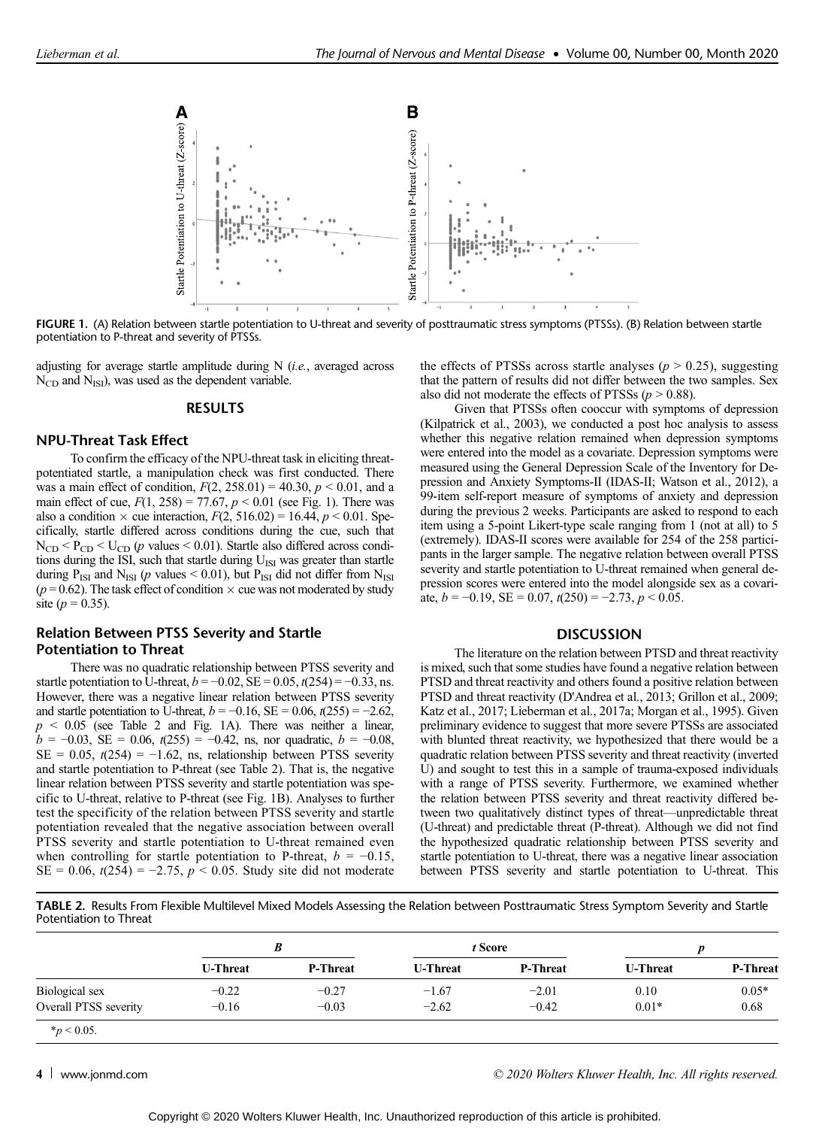

FIGURE 1. (A) Relation between startle potentiation to U-threat and severity of posttraumatic stress symptoms (PTSSs). (B) Relation between startle potentiation to P-threat and severity of PTSSs.

adjusting for average startle amplitude during  $N$  (*i.e.*, averaged across  $N_{CD}$  and  $N_{ISI}$ ), was used as the dependent variable.

### RESULTS

### NPU-Threat Task Effect

To confirm the efficacy of the NPU-threat task in eliciting threatpotentiated startle, a manipulation check was first conducted. There was a main effect of condition,  $F(2, 258.01) = 40.30, p < 0.01$ , and a main effect of cue,  $F(1, 258) = 77.67$ ,  $p < 0.01$  (see Fig. 1). There was also a condition  $\times$  cue interaction,  $F(2, 516.02) = 16.44$ ,  $p < 0.01$ . Specifically, startle differed across conditions during the cue, such that  $N_{CD}$  <  $P_{CD}$  <  $U_{CD}$  (*p* values < 0.01). Startle also differed across conditions during the ISI, such that startle during  $U_{\text{ISI}}$  was greater than startle during  $P_{ISI}$  and  $N_{ISI}$  (p values < 0.01), but  $P_{ISI}$  did not differ from  $N_{ISI}$  $(p=0.62)$ . The task effect of condition  $\times$  cue was not moderated by study site ( $p = 0.35$ ).

## Relation Between PTSS Severity and Startle Potentiation to Threat

There was no quadratic relationship between PTSS severity and startle potentiation to U-threat,  $b = -0.02$ , SE = 0.05,  $t(254) = -0.33$ , ns. However, there was a negative linear relation between PTSS severity and startle potentiation to U-threat,  $b = -0.16$ ,  $SE = 0.06$ ,  $t(255) = -2.62$ ,  $p \leq 0.05$  (see Table 2 and Fig. 1A). There was neither a linear,  $b = -0.03$ , SE = 0.06,  $t(255) = -0.42$ , ns, nor quadratic,  $b = -0.08$ ,  $SE = 0.05$ ,  $t(254) = -1.62$ , ns, relationship between PTSS severity and startle potentiation to P-threat (see Table 2). That is, the negative linear relation between PTSS severity and startle potentiation was specific to U-threat, relative to P-threat (see Fig. 1B). Analyses to further test the specificity of the relation between PTSS severity and startle potentiation revealed that the negative association between overall PTSS severity and startle potentiation to U-threat remained even when controlling for startle potentiation to P-threat,  $b = -0.15$ , SE = 0.06,  $t(254) = -2.75$ ,  $p < 0.05$ . Study site did not moderate the effects of PTSSs across startle analyses ( $p > 0.25$ ), suggesting that the pattern of results did not differ between the two samples. Sex also did not moderate the effects of PTSSs ( $p > 0.88$ ).

Given that PTSSs often cooccur with symptoms of depression (Kilpatrick et al., 2003), we conducted a post hoc analysis to assess whether this negative relation remained when depression symptoms were entered into the model as a covariate. Depression symptoms were measured using the General Depression Scale of the Inventory for Depression and Anxiety Symptoms-II (IDAS-II; Watson et al., 2012), a 99-item self-report measure of symptoms of anxiety and depression during the previous 2 weeks. Participants are asked to respond to each item using a 5-point Likert-type scale ranging from 1 (not at all) to 5 (extremely). IDAS-II scores were available for 254 of the 258 participants in the larger sample. The negative relation between overall PTSS severity and startle potentiation to U-threat remained when general depression scores were entered into the model alongside sex as a covariate,  $b = -0.19$ , SE = 0.07,  $t(250) = -2.73$ ,  $p < 0.05$ .

#### **DISCUSSION**

The literature on the relation between PTSD and threat reactivity is mixed, such that some studies have found a negative relation between PTSD and threat reactivity and others found a positive relation between PTSD and threat reactivity (D'Andrea et al., 2013; Grillon et al., 2009; Katz et al., 2017; Lieberman et al., 2017a; Morgan et al., 1995). Given preliminary evidence to suggest that more severe PTSSs are associated with blunted threat reactivity, we hypothesized that there would be a quadratic relation between PTSS severity and threat reactivity (inverted U) and sought to test this in a sample of trauma-exposed individuals with a range of PTSS severity. Furthermore, we examined whether the relation between PTSS severity and threat reactivity differed between two qualitatively distinct types of threat—unpredictable threat (U-threat) and predictable threat (P-threat). Although we did not find the hypothesized quadratic relationship between PTSS severity and startle potentiation to U-threat, there was a negative linear association between PTSS severity and startle potentiation to U-threat. This

TABLE 2. Results From Flexible Multilevel Mixed Models Assessing the Relation between Posttraumatic Stress Symptom Severity and Startle Potentiation to Threat

|                         | B               |                 | t Score         |                 |                 |                 |
|-------------------------|-----------------|-----------------|-----------------|-----------------|-----------------|-----------------|
|                         | <b>U-Threat</b> | <b>P-Threat</b> | <b>U-Threat</b> | <b>P-Threat</b> | <b>U-Threat</b> | <b>P-Threat</b> |
| Biological sex          | $-0.22$         | $-0.27$         | $-1.67$         | $-2.01$         | 0.10            | $0.05*$         |
| Overall PTSS severity   | $-0.16$         | $-0.03$         | $-2.62$         | $-0.42$         | $0.01*$         | 0.68            |
| $*_{\rm D}$ $\sim$ 0.05 |                 |                 |                 |                 |                 |                 |

 $< 0.05.$ 

4 [www.jonmd.com](http://www.jonmd.com) example and the community of  $\degree$  2020 Wolters Kluwer Health, Inc. All rights reserved.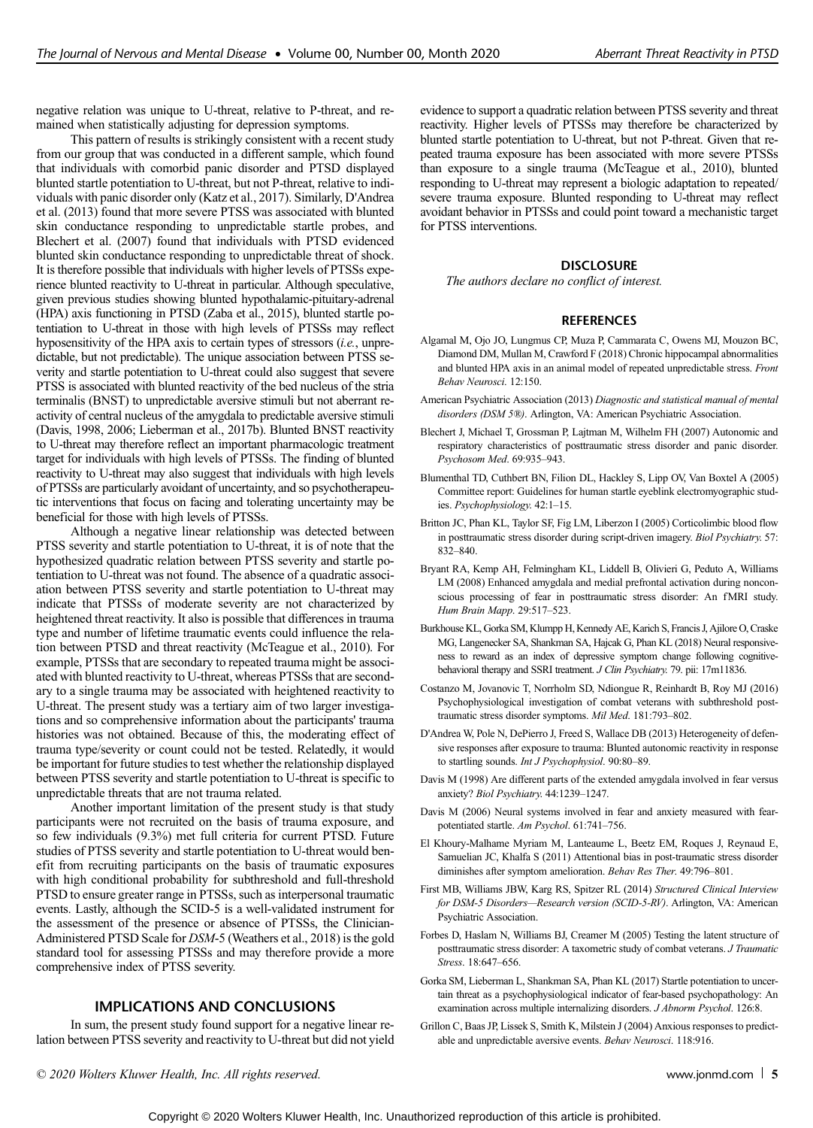negative relation was unique to U-threat, relative to P-threat, and remained when statistically adjusting for depression symptoms.

This pattern of results is strikingly consistent with a recent study from our group that was conducted in a different sample, which found that individuals with comorbid panic disorder and PTSD displayed blunted startle potentiation to U-threat, but not P-threat, relative to individuals with panic disorder only (Katz et al., 2017). Similarly, D'Andrea et al. (2013) found that more severe PTSS was associated with blunted skin conductance responding to unpredictable startle probes, and Blechert et al. (2007) found that individuals with PTSD evidenced blunted skin conductance responding to unpredictable threat of shock. It is therefore possible that individuals with higher levels of PTSSs experience blunted reactivity to U-threat in particular. Although speculative, given previous studies showing blunted hypothalamic-pituitary-adrenal (HPA) axis functioning in PTSD (Zaba et al., 2015), blunted startle potentiation to U-threat in those with high levels of PTSSs may reflect hyposensitivity of the HPA axis to certain types of stressors (i.e., unpredictable, but not predictable). The unique association between PTSS severity and startle potentiation to U-threat could also suggest that severe PTSS is associated with blunted reactivity of the bed nucleus of the stria terminalis (BNST) to unpredictable aversive stimuli but not aberrant reactivity of central nucleus of the amygdala to predictable aversive stimuli (Davis, 1998, 2006; Lieberman et al., 2017b). Blunted BNST reactivity to U-threat may therefore reflect an important pharmacologic treatment target for individuals with high levels of PTSSs. The finding of blunted reactivity to U-threat may also suggest that individuals with high levels of PTSSs are particularly avoidant of uncertainty, and so psychotherapeutic interventions that focus on facing and tolerating uncertainty may be beneficial for those with high levels of PTSSs.

Although a negative linear relationship was detected between PTSS severity and startle potentiation to U-threat, it is of note that the hypothesized quadratic relation between PTSS severity and startle potentiation to U-threat was not found. The absence of a quadratic association between PTSS severity and startle potentiation to U-threat may indicate that PTSSs of moderate severity are not characterized by heightened threat reactivity. It also is possible that differences in trauma type and number of lifetime traumatic events could influence the relation between PTSD and threat reactivity (McTeague et al., 2010). For example, PTSSs that are secondary to repeated trauma might be associated with blunted reactivity to U-threat, whereas PTSSs that are secondary to a single trauma may be associated with heightened reactivity to U-threat. The present study was a tertiary aim of two larger investigations and so comprehensive information about the participants' trauma histories was not obtained. Because of this, the moderating effect of trauma type/severity or count could not be tested. Relatedly, it would be important for future studies to test whether the relationship displayed between PTSS severity and startle potentiation to U-threat is specific to unpredictable threats that are not trauma related.

Another important limitation of the present study is that study participants were not recruited on the basis of trauma exposure, and so few individuals (9.3%) met full criteria for current PTSD. Future studies of PTSS severity and startle potentiation to U-threat would benefit from recruiting participants on the basis of traumatic exposures with high conditional probability for subthreshold and full-threshold PTSD to ensure greater range in PTSSs, such as interpersonal traumatic events. Lastly, although the SCID-5 is a well-validated instrument for the assessment of the presence or absence of PTSSs, the Clinician-Administered PTSD Scale for DSM-5 (Weathers et al., 2018) is the gold standard tool for assessing PTSSs and may therefore provide a more comprehensive index of PTSS severity.

# IMPLICATIONS AND CONCLUSIONS

In sum, the present study found support for a negative linear relation between PTSS severity and reactivity to U-threat but did not yield evidence to support a quadratic relation between PTSS severity and threat reactivity. Higher levels of PTSSs may therefore be characterized by blunted startle potentiation to U-threat, but not P-threat. Given that repeated trauma exposure has been associated with more severe PTSSs than exposure to a single trauma (McTeague et al., 2010), blunted responding to U-threat may represent a biologic adaptation to repeated/ severe trauma exposure. Blunted responding to U-threat may reflect avoidant behavior in PTSSs and could point toward a mechanistic target for PTSS interventions.

#### **DISCLOSURE**

The authors declare no conflict of interest.

#### **REFERENCES**

- Algamal M, Ojo JO, Lungmus CP, Muza P, Cammarata C, Owens MJ, Mouzon BC, Diamond DM, Mullan M, Crawford F (2018) Chronic hippocampal abnormalities and blunted HPA axis in an animal model of repeated unpredictable stress. Front Behav Neurosci. 12:150.
- American Psychiatric Association (2013) Diagnostic and statistical manual of mental disorders (DSM 5<sup>®</sup>). Arlington, VA: American Psychiatric Association.
- Blechert J, Michael T, Grossman P, Lajtman M, Wilhelm FH (2007) Autonomic and respiratory characteristics of posttraumatic stress disorder and panic disorder. Psychosom Med. 69:935–943.
- Blumenthal TD, Cuthbert BN, Filion DL, Hackley S, Lipp OV, Van Boxtel A (2005) Committee report: Guidelines for human startle eyeblink electromyographic studies. Psychophysiology. 42:1–15.
- Britton JC, Phan KL, Taylor SF, Fig LM, Liberzon I (2005) Corticolimbic blood flow in posttraumatic stress disorder during script-driven imagery. Biol Psychiatry. 57: 832–840.
- Bryant RA, Kemp AH, Felmingham KL, Liddell B, Olivieri G, Peduto A, Williams LM (2008) Enhanced amygdala and medial prefrontal activation during nonconscious processing of fear in posttraumatic stress disorder: An fMRI study. Hum Brain Mapp. 29:517–523.
- Burkhouse KL, Gorka SM, Klumpp H, Kennedy AE, Karich S, Francis J, Ajilore O, Craske MG, Langenecker SA, Shankman SA, Hajcak G, Phan KL (2018) Neural responsiveness to reward as an index of depressive symptom change following cognitivebehavioral therapy and SSRI treatment. J Clin Psychiatry. 79. pii: 17m11836.
- Costanzo M, Jovanovic T, Norrholm SD, Ndiongue R, Reinhardt B, Roy MJ (2016) Psychophysiological investigation of combat veterans with subthreshold posttraumatic stress disorder symptoms. Mil Med. 181:793–802.
- D'Andrea W, Pole N, DePierro J, Freed S, Wallace DB (2013) Heterogeneity of defensive responses after exposure to trauma: Blunted autonomic reactivity in response to startling sounds. Int J Psychophysiol. 90:80–89.
- Davis M (1998) Are different parts of the extended amygdala involved in fear versus anxiety? Biol Psychiatry. 44:1239–1247.
- Davis M (2006) Neural systems involved in fear and anxiety measured with fearpotentiated startle. Am Psychol. 61:741–756.
- El Khoury-Malhame Myriam M, Lanteaume L, Beetz EM, Roques J, Reynaud E, Samuelian JC, Khalfa S (2011) Attentional bias in post-traumatic stress disorder diminishes after symptom amelioration. Behav Res Ther. 49:796–801.
- First MB, Williams JBW, Karg RS, Spitzer RL (2014) Structured Clinical Interview for DSM-5 Disorders—Research version (SCID-5-RV). Arlington, VA: American Psychiatric Association.
- Forbes D, Haslam N, Williams BJ, Creamer M (2005) Testing the latent structure of posttraumatic stress disorder: A taxometric study of combat veterans. J Traumatic Stress. 18:647–656.
- Gorka SM, Lieberman L, Shankman SA, Phan KL (2017) Startle potentiation to uncertain threat as a psychophysiological indicator of fear-based psychopathology: An examination across multiple internalizing disorders. J Abnorm Psychol. 126:8.
- Grillon C, Baas JP, Lissek S, Smith K, Milstein J (2004) Anxious responses to predictable and unpredictable aversive events. Behav Neurosci. 118:916.

© 2020 Wolters Kluwer Health, Inc. All rights reserved. [www.jonmd.com](http://www.jonmd.com) 5